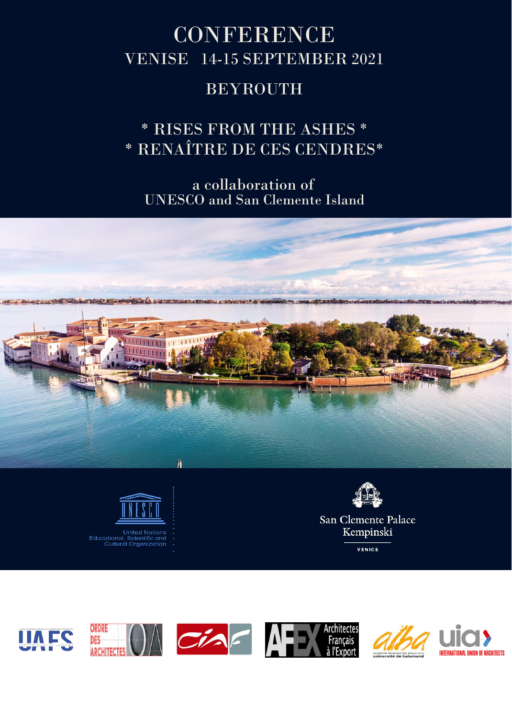# **CONFERENCE** VENISE 14-15 SEPTEMBER 2021

# BEYROUTH

\* RISES FROM THE ASHES \* \* RENAÎTRE DE CES CENDRES\*

UNESCO and San Clemente Island a collaboration of





Kempinski

VENICE



**United Nations** Educational, Scientific and<br>Cultural Organization